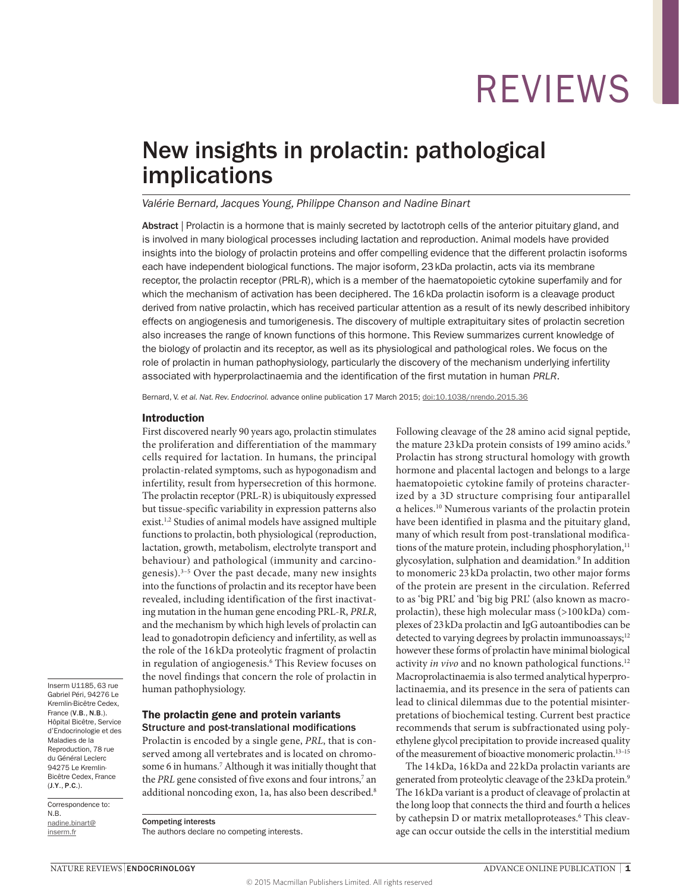## New insights in prolactin: pathological implications

### *Valérie Bernard, Jacques Young, Philippe Chanson and Nadine Binart*

Abstract | Prolactin is a hormone that is mainly secreted by lactotroph cells of the anterior pituitary gland, and is involved in many biological processes including lactation and reproduction. Animal models have provided insights into the biology of prolactin proteins and offer compelling evidence that the different prolactin isoforms each have independent biological functions. The major isoform, 23kDa prolactin, acts via its membrane receptor, the prolactin receptor (PRL-R), which is a member of the haematopoietic cytokine superfamily and for which the mechanism of activation has been deciphered. The 16 kDa prolactin isoform is a cleavage product derived from native prolactin, which has received particular attention as a result of its newly described inhibitory effects on angiogenesis and tumorigenesis. The discovery of multiple extrapituitary sites of prolactin secretion also increases the range of known functions of this hormone. This Review summarizes current knowledge of the biology of prolactin and its receptor, as well as its physiological and pathological roles. We focus on the role of prolactin in human pathophysiology, particularly the discovery of the mechanism underlying infertility associated with hyperprolactinaemia and the identification of the first mutation in human *PRLR*.

Bernard, V. *et al. Nat. Rev. Endocrinol.* advance online publication 17 March 2015; [doi:10.1038/nrendo.2015.36](http://www.nature.com/doifinder/10.1038/nrendo.2015.36)

#### Introduction

First discovered nearly 90 years ago, prolactin stimulates the proliferation and differentiation of the mammary cells required for lactation. In humans, the principal prolactin-related symptoms, such as hypogonadism and infertility, result from hypersecretion of this hormone. The prolactin receptor (PRL-R) is ubiquitously expressed but tissue-specific variability in expression patterns also exist.<sup>1,2</sup> Studies of animal models have assigned multiple functions to prolactin, both physiological (reproduction, lactation, growth, metabolism, electrolyte transport and behaviour) and pathological (immunity and carcinogenesis).<sup>3–5</sup> Over the past decade, many new insights into the functions of prolactin and its receptor have been revealed, including identification of the first inactivating mutation in the human gene encoding PRL-R, *PRLR*, and the mechanism by which high levels of prolactin can lead to gonadotropin deficiency and infertility, as well as the role of the 16 kDa proteolytic fragment of prolactin in regulation of angiogenesis.<sup>6</sup> This Review focuses on the novel findings that concern the role of prolactin in human pathophysiology.

Inserm U1185, 63 rue Gabriel Péri, 94276 Le Kremlin-Bicêtre Cedex, France (V.B., N.B.). Hôpital Bicêtre, Service d'Endocrinologie et des Maladies de la Reproduction, 78 rue du Général Leclerc 94275 Le Kremlin-Bicêtre Cedex, France (J.Y., P.C.).

Correspondence to: N.B. [nadine.binart@](mailto:nadine.binart@inserm.fr) [inserm.fr](mailto:nadine.binart@inserm.fr)

### The prolactin gene and protein variants Structure and post-translational modifications

Prolactin is encoded by a single gene, *PRL*, that is conserved among all vertebrates and is located on chromosome 6 in humans.<sup>7</sup> Although it was initially thought that the PRL gene consisted of five exons and four introns,<sup>7</sup> an additional noncoding exon, 1a, has also been described.<sup>8</sup>

Competing interests The authors declare no competing interests. Following cleavage of the 28 amino acid signal peptide, the mature 23 kDa protein consists of 199 amino acids.<sup>9</sup> Prolactin has strong structural homology with growth hormone and placental lactogen and belongs to a large haematopoietic cytokine family of proteins characterized by a 3D structure comprising four antiparallel α helices.10 Numerous variants of the prolactin protein have been identified in plasma and the pituitary gland, many of which result from post-translational modifications of the mature protein, including phosphorylation,<sup>11</sup> glycosylation, sulphation and deamidation.<sup>9</sup> In addition to monomeric 23 kDa prolactin, two other major forms of the protein are present in the circulation. Referred to as 'big PRL' and 'big big PRL' (also known as macroprolactin), these high molecular mass (>100 kDa) complexes of 23kDa prolactin and IgG autoantibodies can be detected to varying degrees by prolactin immunoassays;<sup>12</sup> however these forms of prolactin have minimal biological activity *in vivo* and no known pathological functions.<sup>12</sup> Macroprolactinaemia is also termed analytical hyperprolactinaemia, and its presence in the sera of patients can lead to clinical dilemmas due to the potential misinterpretations of biochemical testing. Current best practice recommends that serum is subfractionated using polyethylene glycol precipitation to provide increased quality of the measurement of bioactive monomeric prolactin.13–15

The 14 kDa, 16 kDa and 22 kDa prolactin variants are generated from proteolytic cleavage of the 23kDa protein.9 The 16kDa variant is a product of cleavage of prolactin at the long loop that connects the third and fourth α helices by cathepsin D or matrix metalloproteases.<sup>6</sup> This cleavage can occur outside the cells in the interstitial medium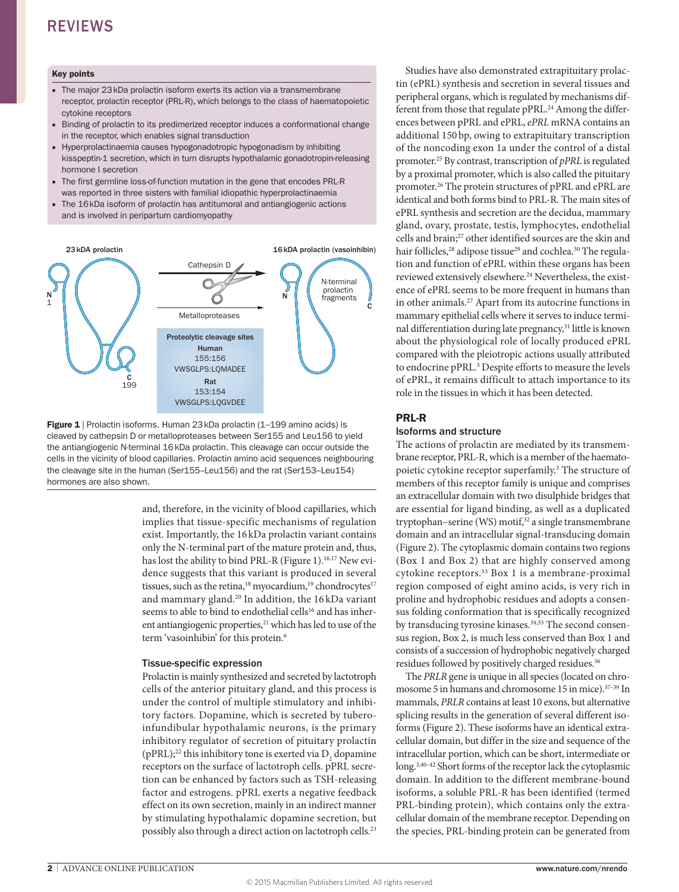#### Key points

- The major 23 kDa prolactin isoform exerts its action via a transmembrane receptor, prolactin receptor (PRL-R), which belongs to the class of haematopoietic cytokine receptors
- Binding of prolactin to its predimerized receptor induces a conformational change in the receptor, which enables signal transduction
- Hyperprolactinaemia causes hypogonadotropic hypogonadism by inhibiting kisspeptin-1 secretion, which in turn disrupts hypothalamic gonadotropin-releasing hormone I secretion
- The first germline loss-of-function mutation in the gene that encodes PRL-R was reported in three sisters with familial idiopathic hyperprolactinaemia
- The 16kDa isoform of prolactin has antitumoral and antiangiogenic actions and is involved in peripartum cardiomyopathy



**Figure 1** | Prolactin isoforms. Human 23 kDa prolactin (1–199 amino acids) is cleaved by cathepsin D or metalloproteases between Ser155 and Leu156 to yield the antiangiogenic N-terminal 16kDa prolactin. This cleavage can occur outside the cells in the vicinity of blood capillaries. Prolactin amino acid sequences neighbouring the cleavage site in the human (Ser155–Leu156) and the rat (Ser153–Leu154) hormones are also shown.

and, therefore, in the vicinity of blood capillaries, which implies that tissue-specific mechanisms of regulation exist. Importantly, the 16kDa prolactin variant contains only the N-terminal part of the mature protein and, thus, has lost the ability to bind PRL-R (Figure 1).<sup>16,17</sup> New evidence suggests that this variant is produced in several tissues, such as the retina, $18 \text{ invocardium}, 19 \text{ chondrocytes}^{17}$ and mammary gland.20 In addition, the 16 kDa variant seems to able to bind to endothelial cells<sup>16</sup> and has inherent antiangiogenic properties, $^{21}$  which has led to use of the term 'vasoinhibin' for this protein.<sup>6</sup>

### Tissue-specific expression

Prolactin is mainly synthesized and secreted by lactotroph cells of the anterior pituitary gland, and this process is under the control of multiple stimulatory and inhibitory factors. Dopamine, which is secreted by tuberoinfundibular hypothalamic neurons, is the primary inhibitory regulator of secretion of pituitary prolactin (pPRL);<sup>22</sup> this inhibitory tone is exerted via  $D_2$  dopamine receptors on the surface of lactotroph cells. pPRL secretion can be enhanced by factors such as TSH-releasing factor and estrogens. pPRL exerts a negative feedback effect on its own secretion, mainly in an indirect manner by stimulating hypothalamic dopamine secretion, but possibly also through a direct action on lactotroph cells.<sup>23</sup>

Studies have also demonstrated extrapituitary prolactin (ePRL) synthesis and secretion in several tissues and peripheral organs, which is regulated by mechanisms different from those that regulate pPRL.<sup>24</sup> Among the differences between pPRL and ePRL, *ePRL* mRNA contains an additional 150 bp, owing to extrapituitary transcription of the noncoding exon 1a under the control of a distal promoter.25 By contrast, transcription of *pPRL* is regulated by a proximal promoter, which is also called the pituitary promoter.26 The protein structures of pPRL and ePRL are identical and both forms bind to PRL-R. The main sites of ePRL synthesis and secretion are the decidua, mammary gland, ovary, prostate, testis, lymphocytes, endothelial cells and brain;27 other identified sources are the skin and hair follicles,<sup>28</sup> adipose tissue<sup>29</sup> and cochlea.<sup>30</sup> The regulation and function of ePRL within these organs has been reviewed extensively elsewhere.<sup>24</sup> Nevertheless, the existence of ePRL seems to be more frequent in humans than in other animals.27 Apart from its autocrine functions in mammary epithelial cells where it serves to induce terminal differentiation during late pregnancy,<sup>31</sup> little is known about the physiological role of locally produced ePRL compared with the pleiotropic actions usually attributed to endocrine pPRL.<sup>3</sup> Despite efforts to measure the levels of ePRL, it remains difficult to attach importance to its role in the tissues in which it has been detected.

### PRL‑R

### Isoforms and structure

The actions of prolactin are mediated by its transmembrane receptor, PRL-R, which is a member of the haematopoietic cytokine receptor superfamily.3 The structure of members of this receptor family is unique and comprises an extracellular domain with two disulphide bridges that are essential for ligand binding, as well as a duplicated tryptophan–serine (WS) motif,<sup>32</sup> a single transmembrane domain and an intracellular signal-transducing domain (Figure 2). The cytoplasmic domain contains two regions (Box 1 and Box 2) that are highly conserved among cytokine receptors.33 Box 1 is a membrane-proximal region composed of eight amino acids, is very rich in proline and hydrophobic residues and adopts a consensus folding conformation that is specifically recognized by transducing tyrosine kinases.<sup>34,35</sup> The second consensus region, Box 2, is much less conserved than Box 1 and consists of a succession of hydrophobic negatively charged residues followed by positively charged residues.<sup>36</sup>

The *PRLR* gene is unique in all species (located on chromosome 5 in humans and chromosome 15 in mice).<sup>37-39</sup> In mammals, *PRLR* contains at least 10 exons, but alternative splicing results in the generation of several different isoforms (Figure 2). These isoforms have an identical extracellular domain, but differ in the size and sequence of the intracellular portion, which can be short, intermediate or long.3,40–42 Short forms of the receptor lack the cytoplasmic domain. In addition to the different membrane-bound isoforms, a soluble PRL-R has been identified (termed PRL-binding protein), which contains only the extracellular domain of the membrane receptor. Depending on the species, PRL-binding protein can be generated from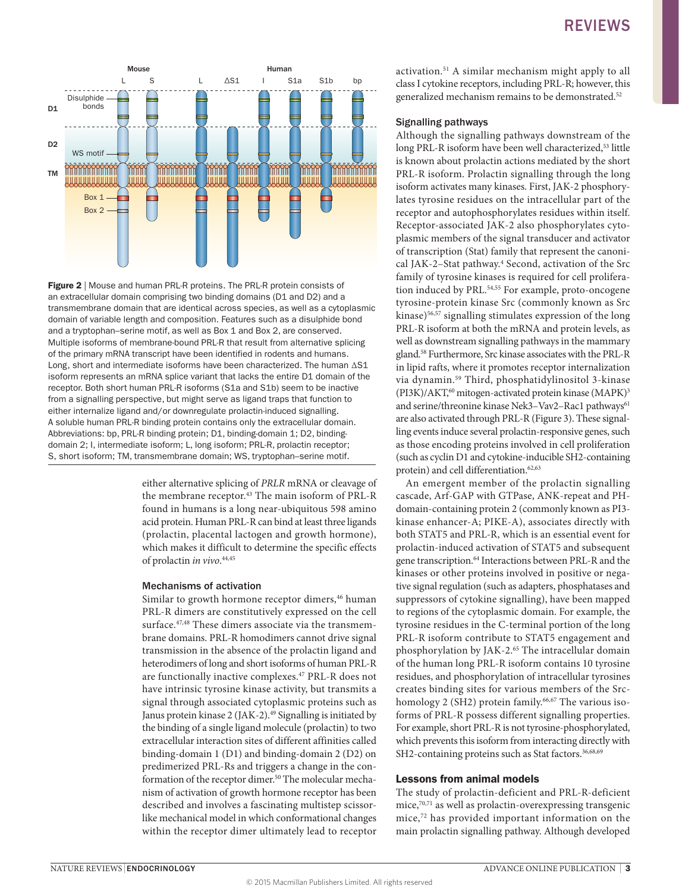

**Figure 2** | Mouse and human PRL-R proteins. The PRL-R protein consists of an extracellular domain comprising two binding domains (D1 and D2) and a transmembrane domain that are identical across species, as well as a cytoplasmic domain of variable length and composition. Features such as a disulphide bond and a tryptophan–serine motif, as well as Box 1 and Box 2, are conserved. Multiple isoforms of membrane-bound PRL-R that result from alternative splicing of the primary mRNA transcript have been identified in rodents and humans. Long, short and intermediate isoforms have been characterized. The human ΔS1 isoform represents an mRNA splice variant that lacks the entire D1 domain of the receptor. Both short human PRL-R isoforms (S1a and S1b) seem to be inactive from a signalling perspective, but might serve as ligand traps that function to either internalize ligand and/or downregulate prolactin-induced signalling. A soluble human PRL-R binding protein contains only the extracellular domain. Abbreviations: bp, PRL-R binding protein; D1, binding-domain 1; D2, bindingdomain 2; I, intermediate isoform; L, long isoform; PRL-R, prolactin receptor; S, short isoform; TM, transmembrane domain; WS, tryptophan–serine motif.

either alternative splicing of *PRLR* mRNA or cleavage of the membrane receptor.<sup>43</sup> The main isoform of PRL-R found in humans is a long near-ubiquitous 598 amino acid protein. Human PRL-R can bind at least three ligands (prolactin, placental lactogen and growth hormone), which makes it difficult to determine the specific effects of prolactin *in vivo*. 44,45

### Mechanisms of activation

Similar to growth hormone receptor dimers,<sup>46</sup> human PRL-R dimers are constitutively expressed on the cell surface.<sup>47,48</sup> These dimers associate via the transmembrane domains. PRL-R homodimers cannot drive signal transmission in the absence of the prolactin ligand and heterodimers of long and short isoforms of human PRL-R are functionally inactive complexes.<sup>47</sup> PRL-R does not have intrinsic tyrosine kinase activity, but transmits a signal through associated cytoplasmic proteins such as Janus protein kinase 2 (JAK-2).<sup>49</sup> Signalling is initiated by the binding of a single ligand molecule (prolactin) to two extracellular interaction sites of different affinities called binding-domain 1 (D1) and binding-domain 2 (D2) on predimerized PRL-Rs and triggers a change in the conformation of the receptor dimer.<sup>50</sup> The molecular mechanism of activation of growth hormone receptor has been described and involves a fascinating multistep scissorlike mechanical model in which conformational changes within the receptor dimer ultimately lead to receptor activation.51 A similar mechanism might apply to all class I cytokine receptors, including PRL-R; however, this generalized mechanism remains to be demonstrated.<sup>52</sup>

### Signalling pathways

Although the signalling pathways downstream of the long PRL-R isoform have been well characterized,<sup>53</sup> little is known about prolactin actions mediated by the short PRL-R isoform. Prolactin signalling through the long isoform activates many kinases. First, JAK-2 phosphorylates tyrosine residues on the intracellular part of the receptor and autophosphorylates residues within itself. Receptor-associated JAK-2 also phosphorylates cytoplasmic members of the signal transducer and activator of transcription (Stat) family that represent the canonical JAK-2–Stat pathway.4 Second, activation of the Src family of tyrosine kinases is required for cell proliferation induced by PRL.<sup>54,55</sup> For example, proto-oncogene tyrosine-protein kinase Src (commonly known as Src kinase)<sup>56,57</sup> signalling stimulates expression of the long PRL-R isoform at both the mRNA and protein levels, as well as downstream signalling pathways in the mammary gland.58 Furthermore, Src kinase associates with the PRL-R in lipid rafts, where it promotes receptor internalization via dynamin.59 Third, phosphatidylinositol 3-kinase (PI3K)/AKT, $^{60}$  mitogen-activated protein kinase (MAPK)<sup>3</sup> and serine/threonine kinase Nek3-Vav2-Rac1 pathways<sup>61</sup> are also activated through PRL-R (Figure 3). These signalling events induce several prolactin-responsive genes, such as those encoding proteins involved in cell proliferation (such as cyclin D1 and cytokine-inducible SH2-containing protein) and cell differentiation.<sup>62,63</sup>

An emergent member of the prolactin signalling cascade, Arf-GAP with GTPase, ANK-repeat and PHdomain-containing protein 2 (commonly known as PI3 kinase enhancer-A; PIKE-A), associates directly with both STAT5 and PRL-R, which is an essential event for prolactin-induced activation of STAT5 and subsequent gene transcription.<sup>64</sup> Interactions between PRL-R and the kinases or other proteins involved in positive or negative signal regulation (such as adapters, phosphatases and suppressors of cytokine signalling), have been mapped to regions of the cytoplasmic domain. For example, the tyrosine residues in the C-terminal portion of the long PRL-R isoform contribute to STAT5 engagement and phosphorylation by JAK-2.65 The intracellular domain of the human long PRL-R isoform contains 10 tyrosine residues, and phosphorylation of intracellular tyrosines creates binding sites for various members of the Srchomology 2 (SH2) protein family.<sup>66,67</sup> The various isoforms of PRL-R possess different signalling properties. For example, short PRL-R is not tyrosine-phosphorylated, which prevents this isoform from interacting directly with SH2-containing proteins such as Stat factors.<sup>36,68,69</sup>

### Lessons from animal models

The study of prolactin-deficient and PRL-R-deficient mice,70,71 as well as prolactin-overexpressing transgenic mice,72 has provided important information on the main prolactin signalling pathway. Although developed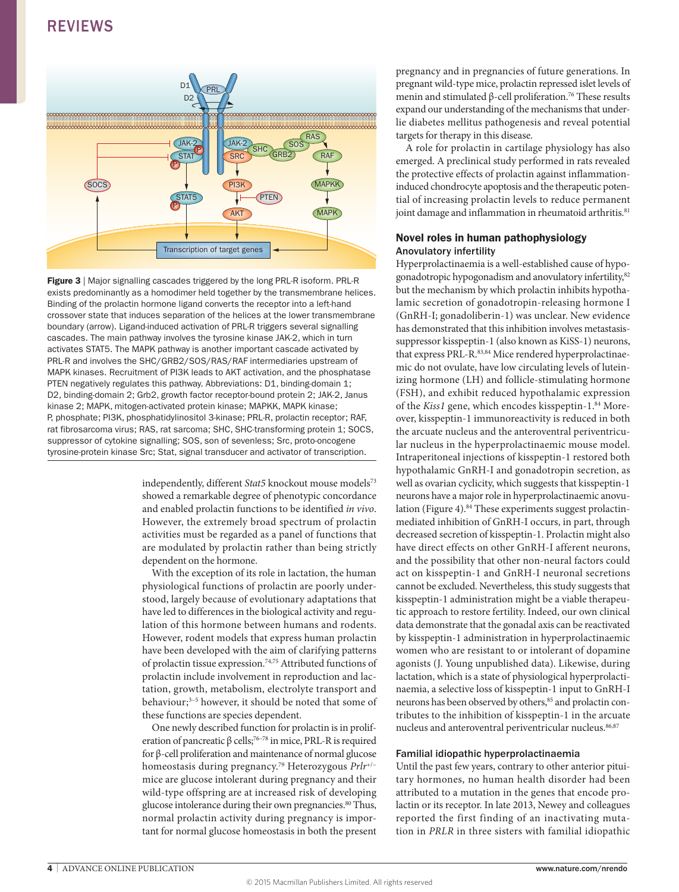

Figure 3 | Major signalling cascades triggered by the long PRL-R isoform. PRL-R exists predominantly as a homodimer held together by the transmembrane helices. Binding of the prolactin hormone ligand converts the receptor into a left-hand crossover state that induces separation of the helices at the lower transmembrane boundary (arrow). Ligand-induced activation of PRL-R triggers several signalling cascades. The main pathway involves the tyrosine kinase JAK-2, which in turn activates STAT5. The MAPK pathway is another important cascade activated by PRL-R and involves the SHC/GRB2/SOS/RAS/RAF intermediaries upstream of MAPK kinases. Recruitment of PI3K leads to AKT activation, and the phosphatase PTEN negatively regulates this pathway. Abbreviations: D1, binding-domain 1; D2, binding-domain 2; Grb2, growth factor receptor-bound protein 2; JAK-2, Janus kinase 2; MAPK, mitogen-activated protein kinase; MAPKK, MAPK kinase; P, phosphate; PI3K, phosphatidylinositol 3-kinase; PRL-R, prolactin receptor; RAF, rat fibrosarcoma virus; RAS, rat sarcoma; SHC, SHC-transforming protein 1; SOCS, suppressor of cytokine signalling; SOS, son of sevenless; Src, proto-oncogene tyrosine-protein kinase Src; Stat, signal transducer and activator of transcription.

independently, different *Stat5* knockout mouse models<sup>73</sup> showed a remarkable degree of phenotypic concordance and enabled prolactin functions to be identified *in vivo*. However, the extremely broad spectrum of prolactin activities must be regarded as a panel of functions that are modulated by prolactin rather than being strictly dependent on the hormone.

With the exception of its role in lactation, the human physiological functions of prolactin are poorly understood, largely because of evolutionary adaptations that have led to differences in the biological activity and regulation of this hormone between humans and rodents. However, rodent models that express human prolactin have been developed with the aim of clarifying patterns of prolactin tissue expression.74,75 Attributed functions of prolactin include involvement in reproduction and lactation, growth, metabolism, electrolyte transport and behaviour;<sup>3-5</sup> however, it should be noted that some of these functions are species dependent.

One newly described function for prolactin is in proliferation of pancreatic β cells;<sup>76-78</sup> in mice, PRL-R is required for β-cell proliferation and maintenance of normal glucose homeostasis during pregnancy.79 Heterozygous *Prlr*+/− mice are glucose intolerant during pregnancy and their wild-type offspring are at increased risk of developing glucose intolerance during their own pregnancies.<sup>80</sup> Thus, normal prolactin activity during pregnancy is important for normal glucose homeostasis in both the present pregnancy and in pregnancies of future generations. In pregnant wild-type mice, prolactin repressed islet levels of menin and stimulated β-cell proliferation.76 These results expand our understanding of the mechanisms that underlie diabetes mellitus pathogenesis and reveal potential targets for therapy in this disease.

A role for prolactin in cartilage physiology has also emerged. A preclinical study performed in rats revealed the protective effects of prolactin against inflammationinduced chondrocyte apoptosis and the therapeutic potential of increasing prolactin levels to reduce permanent joint damage and inflammation in rheumatoid arthritis.<sup>81</sup>

### Novel roles in human pathophysiology Anovulatory infertility

Hyperprolactinaemia is a well-established cause of hypogonadotropic hypogonadism and anovulatory infertility, 82 but the mechanism by which prolactin inhibits hypothalamic secretion of gonadotropin-releasing hormone I (GnRH-I; gonadoliberin-1) was unclear. New evidence has demonstrated that this inhibition involves metastasissuppressor kisspeptin-1 (also known as KiSS-1) neurons, that express PRL-R.<sup>83,84</sup> Mice rendered hyperprolactinaemic do not ovulate, have low circulating levels of luteinizing hormone (LH) and follicle-stimulating hormone (FSH), and exhibit reduced hypothalamic expression of the *Kiss1* gene, which encodes kisspeptin-1.<sup>84</sup> Moreover, kisspeptin-1 immunoreactivity is reduced in both the arcuate nucleus and the anteroventral periventricular nucleus in the hyperprolactinaemic mouse model. Intraperitoneal injections of kisspeptin-1 restored both hypothalamic GnRH-I and gonadotropin secretion, as well as ovarian cyclicity, which suggests that kisspeptin-1 neurons have a major role in hyperprolactinaemic anovulation (Figure 4).<sup>84</sup> These experiments suggest prolactinmediated inhibition of GnRH-I occurs, in part, through decreased secretion of kisspeptin-1. Prolactin might also have direct effects on other GnRH-I afferent neurons, and the possibility that other non-neural factors could act on kisspeptin-1 and GnRH-I neuronal secretions cannot be excluded. Nevertheless, this study suggests that kisspeptin-1 administration might be a viable therapeutic approach to restore fertility. Indeed, our own clinical data demonstrate that the gonadal axis can be reactivated by kisspeptin-1 administration in hyperprolactinaemic women who are resistant to or intolerant of dopamine agonists (J. Young unpublished data). Likewise, during lactation, which is a state of physiological hyperprolactinaemia, a selective loss of kisspeptin-1 input to GnRH-I neurons has been observed by others,<sup>85</sup> and prolactin contributes to the inhibition of kisspeptin-1 in the arcuate nucleus and anteroventral periventricular nucleus.86,87

### Familial idiopathic hyperprolactinaemia

Until the past few years, contrary to other anterior pituitary hormones, no human health disorder had been attributed to a mutation in the genes that encode prolactin or its receptor. In late 2013, Newey and colleagues reported the first finding of an inactivating mutation in *PRLR* in three sisters with familial idiopathic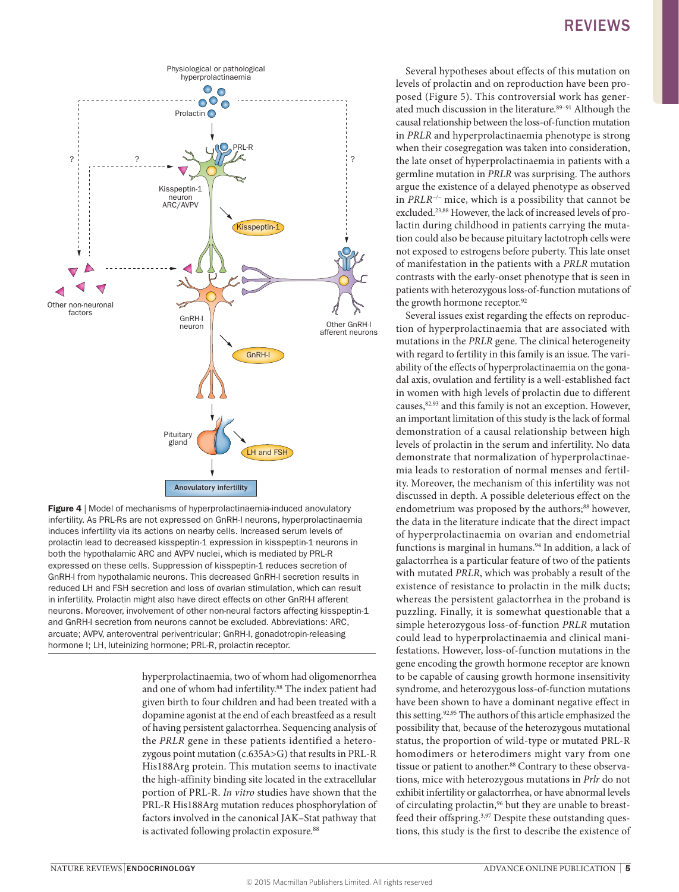

rigure • prioder of mechanisms of hyperprolactinaemia-mudded anovulatory<br>infertility. As PRL-Rs are not expressed on GnRH-I neurons, hyperprolactinaemia Figure 4 | Model of mechanisms of hyperprolactinaemia-induced anovulatory induces infertility via its actions on nearby cells. Increased serum levels of prolactin lead to decreased kisspeptin-1 expression in kisspeptin-1 neurons in both the hypothalamic ARC and AVPV nuclei, which is mediated by PRL-R expressed on these cells. Suppression of kisspeptin-1 reduces secretion of GnRH-I from hypothalamic neurons. This decreased GnRH-I secretion results in reduced LH and FSH secretion and loss of ovarian stimulation, which can result in infertility. Prolactin might also have direct effects on other GnRH-I afferent neurons. Moreover, involvement of other non-neural factors affecting kisspeptin-1 and GnRH-I secretion from neurons cannot be excluded. Abbreviations: ARC, arcuate; AVPV, anteroventral periventricular; GnRH-I, gonadotropin-releasing hormone I; LH, luteinizing hormone; PRL-R, prolactin receptor.

hyperprolactinaemia, two of whom had oligomenorrhea and one of whom had infertility.<sup>88</sup> The index patient had given birth to four children and had been treated with a dopamine agonist at the end of each breastfeed as a result of having persistent galactorrhea. Sequencing analysis of the *PRLR* gene in these patients identified a heterozygous point mutation (c.635A>G) that results in PRL-R His188Arg protein. This mutation seems to inactivate the high-affinity binding site located in the extracellular portion of PRL-R. *In vitro* studies have shown that the PRL-R His188Arg mutation reduces phosphorylation of factors involved in the canonical JAK–Stat pathway that is activated following prolactin exposure.<sup>88</sup>

### REVIEWS

Several hypotheses about effects of this mutation on levels of prolactin and on reproduction have been proposed (Figure 5). This controversial work has generated much discussion in the literature.<sup>89-91</sup> Although the causal relationship between the loss-of-function mutation in *PRLR* and hyperprolactinaemia phenotype is strong when their cosegregation was taken into consideration, the late onset of hyperprolactinaemia in patients with a germline mutation in *PRLR* was surprising. The authors argue the existence of a delayed phenotype as observed in *PRLR–/–* mice, which is a possibility that cannot be excluded.23,88 However, the lack of increased levels of prolactin during childhood in patients carrying the mutation could also be because pituitary lactotroph cells were not exposed to estrogens before puberty. This late onset of manifestation in the patients with a *PRLR* mutation contrasts with the early-onset phenotype that is seen in patients with heterozygous loss-of-function mutations of the growth hormone receptor.<sup>92</sup>

Several issues exist regarding the effects on reproduction of hyperprolactinaemia that are associated with mutations in the *PRLR* gene. The clinical heterogeneity with regard to fertility in this family is an issue. The variability of the effects of hyperprolactinaemia on the gonadal axis, ovulation and fertility is a well-established fact in women with high levels of prolactin due to different causes,82,93 and this family is not an exception. However, an important limitation of this study is the lack of formal demonstration of a causal relationship between high levels of prolactin in the serum and infertility. No data demonstrate that normalization of hyperprolactinaemia leads to restoration of normal menses and fertility. Moreover, the mechanism of this infertility was not discussed in depth. A possible deleterious effect on the endometrium was proposed by the authors;<sup>88</sup> however, the data in the literature indicate that the direct impact of hyperprolactinaemia on ovarian and endometrial functions is marginal in humans.<sup>94</sup> In addition, a lack of galactorrhea is a particular feature of two of the patients with mutated *PRLR*, which was probably a result of the existence of resistance to prolactin in the milk ducts; whereas the persistent galactorrhea in the proband is puzzling. Finally, it is somewhat questionable that a simple heterozygous loss-of-function *PRLR* mutation could lead to hyperprolactinaemia and clinical manifestations. However, loss-of-function mutations in the gene encoding the growth hormone receptor are known to be capable of causing growth hormone insensitivity syndrome, and heterozygous loss-of-function mutations have been shown to have a dominant negative effect in this setting.<sup>92,95</sup> The authors of this article emphasized the possibility that, because of the heterozygous mutational status, the proportion of wild-type or mutated PRL-R homodimers or heterodimers might vary from one tissue or patient to another.<sup>88</sup> Contrary to these observations, mice with heterozygous mutations in *Prlr* do not exhibit infertility or galactorrhea, or have abnormal levels of circulating prolactin,<sup>96</sup> but they are unable to breastfeed their offspring.<sup>3,97</sup> Despite these outstanding questions, this study is the first to describe the existence of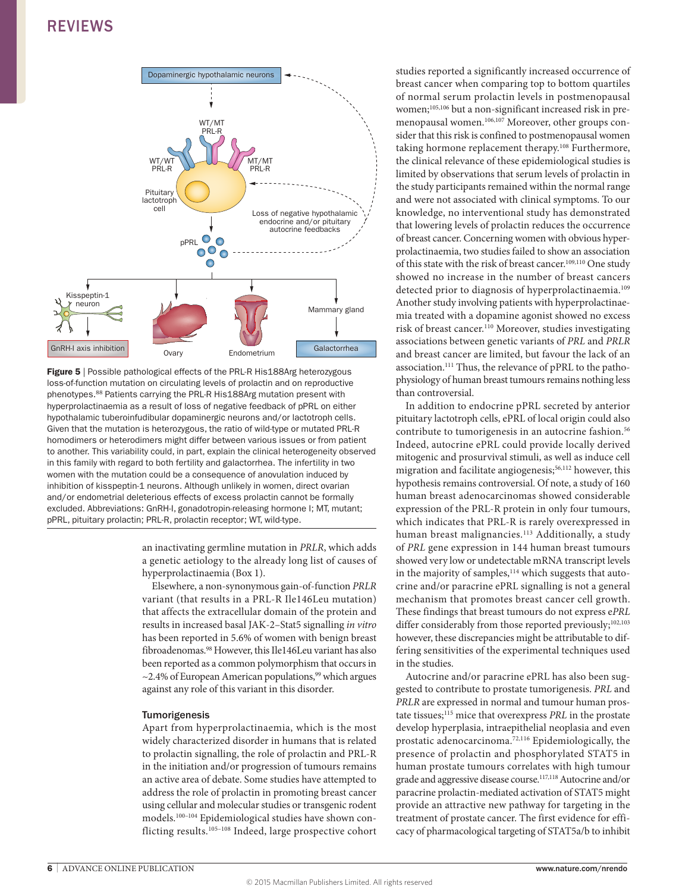

**Figure 5** | Possible pathological effects of the PRL-R His188Arg heterozygous loss-of-function mutation on circulating levels of prolactin and on reproductive phenotypes.88 Patients carrying the PRL-R His188Arg mutation present with hyperprolactinaemia as a result of loss of negative feedback of pPRL on either hypothalamic tuberoinfudibular dopaminergic neurons and/or lactotroph cells. Given that the mutation is heterozygous, the ratio of wild-type or mutated PRL-R homodimers or heterodimers might differ between various issues or from patient to another. This variability could, in part, explain the clinical heterogeneity observed in this family with regard to both fertility and galactorrhea. The infertility in two women with the mutation could be a consequence of anovulation induced by inhibition of kisspeptin-1 neurons. Although unlikely in women, direct ovarian and/or endometrial deleterious effects of excess prolactin cannot be formally excluded. Abbreviations: GnRH-I, gonadotropin-releasing hormone I; MT, mutant; pPRL, pituitary prolactin; PRL-R, prolactin receptor; WT, wild-type.

an inactivating germline mutation in *PRLR*, which adds a genetic aetiology to the already long list of causes of hyperprolactinaemia (Box 1).

Elsewhere, a non-synonymous gain-of-function *PRLR*  variant (that results in a PRL-R Ile146Leu mutation) that affects the extracellular domain of the protein and results in increased basal JAK-2–Stat5 signalling *in vitro* has been reported in 5.6% of women with benign breast fibroadenomas.<sup>98</sup> However, this Ile146Leu variant has also been reported as a common polymorphism that occurs in  $\sim$ 2.4% of European American populations,<sup>99</sup> which argues against any role of this variant in this disorder.

### Tumorigenesis

Apart from hyperprolactinaemia, which is the most widely characterized disorder in humans that is related to prolactin signalling, the role of prolactin and PRL-R in the initiation and/or progression of tumours remains an active area of debate. Some studies have attempted to address the role of prolactin in promoting breast cancer using cellular and molecular studies or transgenic rodent models.100–104 Epidemiological studies have shown conflicting results.105–108 Indeed, large prospective cohort studies reported a significantly increased occurrence of breast cancer when comparing top to bottom quartiles of normal serum prolactin levels in postmenopausal women;<sup>105,106</sup> but a non-significant increased risk in premenopausal women.106,107 Moreover, other groups consider that this risk is confined to postmenopausal women taking hormone replacement therapy.108 Furthermore, the clinical relevance of these epidemiological studies is limited by observations that serum levels of prolactin in the study participants remained within the normal range and were not associated with clinical symptoms. To our knowledge, no interventional study has demonstrated that lowering levels of prolactin reduces the occurrence of breast cancer. Concerning women with obvious hyperprolactinaemia, two studies failed to show an association of this state with the risk of breast cancer.<sup>109,110</sup> One study showed no increase in the number of breast cancers detected prior to diagnosis of hyperprolactinaemia.<sup>109</sup> Another study involving patients with hyperprolactinaemia treated with a dopamine agonist showed no excess risk of breast cancer.110 Moreover, studies investigating associations between genetic variants of *PRL* and *PRLR* and breast cancer are limited, but favour the lack of an association.111 Thus, the relevance of pPRL to the pathophysiology of human breast tumours remains nothing less than controversial.

In addition to endocrine pPRL secreted by anterior pituitary lactotroph cells, ePRL of local origin could also contribute to tumorigenesis in an autocrine fashion.<sup>56</sup> Indeed, autocrine ePRL could provide locally derived mitogenic and prosurvival stimuli, as well as induce cell migration and facilitate angiogenesis;<sup>56,112</sup> however, this hypothesis remains controversial. Of note, a study of 160 human breast adenocarcinomas showed considerable expression of the PRL-R protein in only four tumours, which indicates that PRL-R is rarely overexpressed in human breast malignancies.<sup>113</sup> Additionally, a study of *PRL* gene expression in 144 human breast tumours showed very low or undetectable mRNA transcript levels in the majority of samples, $114$  which suggests that autocrine and/or paracrine ePRL signalling is not a general mechanism that promotes breast cancer cell growth. These findings that breast tumours do not express e*PRL* differ considerably from those reported previously;<sup>102,103</sup> however, these discrepancies might be attributable to differing sensitivities of the experimental techniques used in the studies.

Autocrine and/or paracrine ePRL has also been suggested to contribute to prostate tumorigenesis. *PRL* and *PRLR* are expressed in normal and tumour human prostate tissues;115 mice that overexpress *PRL* in the prostate develop hyperplasia, intraepithelial neoplasia and even prostatic adenocarcinoma.72,116 Epidemiologically, the presence of prolactin and phosphorylated STAT5 in human prostate tumours correlates with high tumour grade and aggressive disease course.117,118 Autocrine and/or paracrine prolactin-mediated activation of STAT5 might provide an attractive new pathway for targeting in the treatment of prostate cancer. The first evidence for efficacy of pharmacological targeting of STAT5a/b to inhibit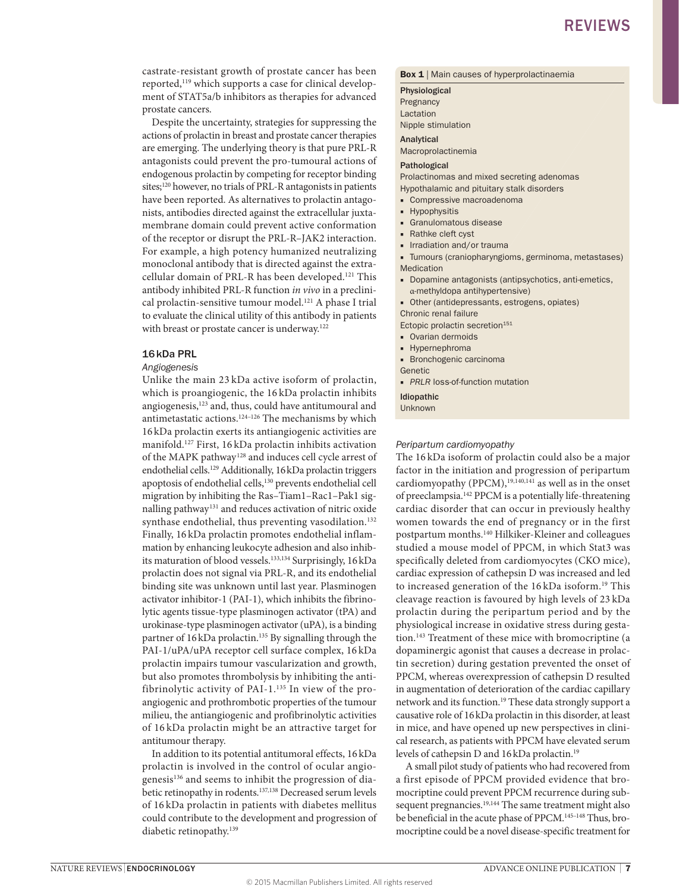castrate-resistant growth of prostate cancer has been reported,<sup>119</sup> which supports a case for clinical development of STAT5a/b inhibitors as therapies for advanced prostate cancers.

Despite the uncertainty, strategies for suppressing the actions of prolactin in breast and prostate cancer therapies are emerging. The underlying theory is that pure PRL-R antagonists could prevent the pro-tumoural actions of endogenous prolactin by competing for receptor binding sites;<sup>120</sup> however, no trials of PRL-R antagonists in patients have been reported. As alternatives to prolactin antagonists, antibodies directed against the extracellular juxtamembrane domain could prevent active conformation of the receptor or disrupt the PRL-R–JAK2 interaction. For example, a high potency humanized neutralizing monoclonal antibody that is directed against the extracellular domain of PRL-R has been developed.121 This antibody inhibited PRL-R function *in vivo* in a preclinical prolactin-sensitive tumour model.<sup>121</sup> A phase I trial to evaluate the clinical utility of this antibody in patients with breast or prostate cancer is underway.<sup>122</sup>

### 16kDa PRL

#### *Angiogenesis*

Unlike the main 23 kDa active isoform of prolactin, which is proangiogenic, the 16 kDa prolactin inhibits angiogenesis,123 and, thus, could have antitumoural and antimetastatic actions.<sup>124-126</sup> The mechanisms by which 16 kDa prolactin exerts its antiangiogenic activities are manifold.127 First, 16 kDa prolactin inhibits activation of the MAPK pathway<sup>128</sup> and induces cell cycle arrest of endothelial cells.<sup>129</sup> Additionally, 16kDa prolactin triggers apoptosis of endothelial cells,130 prevents endothelial cell migration by inhibiting the Ras–Tiam1–Rac1–Pak1 signalling pathway<sup>131</sup> and reduces activation of nitric oxide synthase endothelial, thus preventing vasodilation.<sup>132</sup> Finally, 16 kDa prolactin promotes endothelial inflammation by enhancing leukocyte adhesion and also inhibits maturation of blood vessels.133,134 Surprisingly, 16kDa prolactin does not signal via PRL-R, and its endothelial binding site was unknown until last year. Plasminogen activator inhibitor-1 (PAI-1), which inhibits the fibrinolytic agents tissue-type plasminogen activator (tPA) and urokinase-type plasminogen activator (uPA), is a binding partner of 16kDa prolactin.135 By signalling through the PAI-1/uPA/uPA receptor cell surface complex, 16 kDa prolactin impairs tumour vascularization and growth, but also promotes thrombolysis by inhibiting the antifibrinolytic activity of PAI-1.135 In view of the proangiogenic and prothrombotic properties of the tumour milieu, the antiangiogenic and profibrinolytic activities of 16 kDa prolactin might be an attractive target for antitumour therapy.

In addition to its potential antitumoral effects, 16 kDa prolactin is involved in the control of ocular angiogenesis<sup>136</sup> and seems to inhibit the progression of diabetic retinopathy in rodents.<sup>137,138</sup> Decreased serum levels of 16 kDa prolactin in patients with diabetes mellitus could contribute to the development and progression of diabetic retinopathy.<sup>139</sup>

#### **Box 1** | Main causes of hyperprolactinaemia

Physiological **Pregnancy** Lactation Nipple stimulation

Analytical

Macroprolactinemia

#### Pathological

Prolactinomas and mixed secreting adenomas

- Hypothalamic and pituitary stalk disorders
- Compressive macroadenoma
- Hypophysitis
- Granulomatous disease
- Rathke cleft cyst
- Irradiation and/or trauma

■ Tumours (craniopharyngioms, germinoma, metastases) Medication

- Dopamine antagonists (antipsychotics, anti-emetics, α-methyldopa antihypertensive)
- Other (antidepressants, estrogens, opiates)

Chronic renal failure

- Ectopic prolactin secretion<sup>151</sup>
- Ovarian dermoids
- Hypernephroma
- Bronchogenic carcinoma

Genetic

■ *PRLR* loss-of-function mutation

Idiopathic Unknown

### *Peripartum cardiomyopathy*

The 16 kDa isoform of prolactin could also be a major factor in the initiation and progression of peripartum cardiomyopathy (PPCM), $19,140,141$  as well as in the onset of preeclampsia.142 PPCM is a potentially life-threatening cardiac disorder that can occur in previously healthy women towards the end of pregnancy or in the first postpartum months.140 Hilkiker-Kleiner and colleagues studied a mouse model of PPCM, in which Stat3 was specifically deleted from cardiomyocytes (CKO mice), cardiac expression of cathepsin D was increased and led to increased generation of the 16 kDa isoform.19 This cleavage reaction is favoured by high levels of 23 kDa prolactin during the peripartum period and by the physiological increase in oxidative stress during gestation.143 Treatment of these mice with bromocriptine (a dopaminergic agonist that causes a decrease in prolactin secretion) during gestation prevented the onset of PPCM, whereas overexpression of cathepsin D resulted in augmentation of deterioration of the cardiac capillary network and its function.19 These data strongly support a causative role of 16kDa prolactin in this disorder, at least in mice, and have opened up new perspectives in clinical research, as patients with PPCM have elevated serum levels of cathepsin D and 16kDa prolactin.19

A small pilot study of patients who had recovered from a first episode of PPCM provided evidence that bromocriptine could prevent PPCM recurrence during subsequent pregnancies.<sup>19,144</sup> The same treatment might also be beneficial in the acute phase of PPCM.145–148 Thus, bromocriptine could be a novel disease-specific treatment for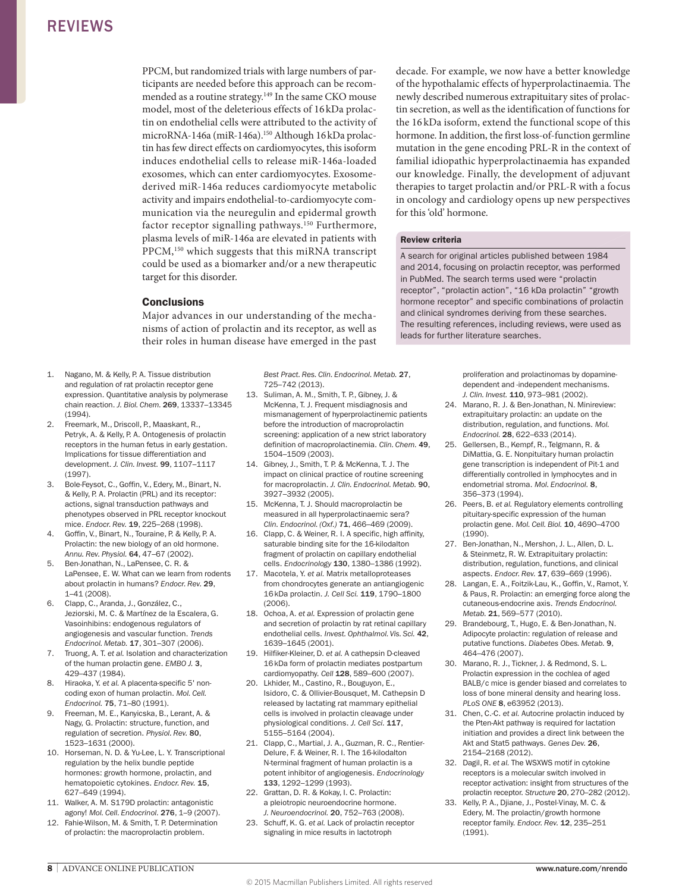PPCM, but randomized trials with large numbers of participants are needed before this approach can be recommended as a routine strategy.149 In the same CKO mouse model, most of the deleterious effects of 16 kDa prolactin on endothelial cells were attributed to the activity of microRNA-146a (miR-146a).<sup>150</sup> Although 16 kDa prolactin has few direct effects on cardiomyocytes, this isoform induces endothelial cells to release miR-146a-loaded exosomes, which can enter cardiomyocytes. Exosomederived miR-146a reduces cardiomyocyte metabolic activity and impairs endothelial-to-cardiomyocyte communication via the neuregulin and epidermal growth factor receptor signalling pathways.<sup>150</sup> Furthermore, plasma levels of miR-146a are elevated in patients with PPCM,150 which suggests that this miRNA transcript could be used as a biomarker and/or a new therapeutic target for this disorder.

### **Conclusions**

Major advances in our understanding of the mechanisms of action of prolactin and its receptor, as well as their roles in human disease have emerged in the past

- 1. Nagano, M. & Kelly, P. A. Tissue distribution and regulation of rat prolactin receptor gene expression. Quantitative analysis by polymerase chain reaction. *J. Biol. Chem.* 269, 13337–13345 (1994).
- 2. Freemark, M., Driscoll, P., Maaskant, R., Petryk, A. & Kelly, P. A. Ontogenesis of prolactin receptors in the human fetus in early gestation. Implications for tissue differentiation and development. *J. Clin. Invest.* 99, 1107–1117 (1997).
- 3. Bole-Feysot, C., Goffin, V., Edery, M., Binart, N. & Kelly, P. A. Prolactin (PRL) and its receptor: actions, signal transduction pathways and phenotypes observed in PRL receptor knockout mice. *Endocr. Rev.* 19, 225–268 (1998).
- 4. Goffin, V., Binart, N., Touraine, P. & Kelly, P. A. Prolactin: the new biology of an old hormone. *Annu. Rev. Physiol.* 64, 47–67 (2002).
- 5. Ben-Jonathan, N., LaPensee, C. R. & LaPensee, E. W. What can we learn from rodents about prolactin in humans? *Endocr. Rev.* 29, 1–41 (2008).
- 6. Clapp, C., Aranda, J., González, C., Jeziorski, M. C. & Martínez de la Escalera, G. Vasoinhibins: endogenous regulators of angiogenesis and vascular function. *Trends Endocrinol. Metab.* 17, 301–307 (2006).
- 7. Truong, A. T. *et al.* Isolation and characterization of the human prolactin gene. *EMBO J.* 3, 429–437 (1984).
- 8. Hiraoka, Y. *et al.* A placenta-specific 5' noncoding exon of human prolactin. *Mol. Cell. Endocrinol.* 75, 71–80 (1991).
- 9. Freeman, M. E., Kanyicska, B., Lerant, A. & Nagy, G. Prolactin: structure, function, and regulation of secretion. *Physiol. Rev.* 80, 1523–1631 (2000).
- 10. Horseman, N. D. & Yu-Lee, L. Y. Transcriptional regulation by the helix bundle peptide hormones: growth hormone, prolactin, and hematopoietic cytokines. *Endocr. Rev.* 15, 627–649 (1994).
- 11. Walker, A. M. S179D prolactin: antagonistic agony! *Mol. Cell. Endocrinol.* 276, 1–9 (2007).
- 12. Fahie-Wilson, M. & Smith, T. P. Determination of prolactin: the macroprolactin problem.

*Best Pract. Res. Clin. Endocrinol. Metab.* 27, 725–742 (2013).

- 13. Suliman, A. M., Smith, T. P., Gibney, J. & McKenna, T. J. Frequent misdiagnosis and mismanagement of hyperprolactinemic patients before the introduction of macroprolactin screening: application of a new strict laboratory definition of macroprolactinemia. *Clin. Chem.* 49, 1504–1509 (2003).
- 14. Gibney, J., Smith, T. P. & McKenna, T. J. The impact on clinical practice of routine screening for macroprolactin. *J. Clin. Endocrinol. Metab.* 90, 3927–3932 (2005).
- 15. McKenna, T. J. Should macroprolactin be measured in all hyperprolactinaemic sera? *Clin. Endocrinol. (Oxf.)* 71, 466–469 (2009).
- 16. Clapp, C. & Weiner, R. I. A specific, high affinity, saturable binding site for the 16-kilodalton fragment of prolactin on capillary endothelial cells. *Endocrinology* 130, 1380–1386 (1992).
- 17. Macotela, Y. *et al.* Matrix metalloproteases from chondrocytes generate an antiangiogenic 16kDa prolactin. *J. Cell Sci.* 119, 1790–1800 (2006).
- 18. Ochoa, A. *et al.* Expression of prolactin gene and secretion of prolactin by rat retinal capillary endothelial cells. *Invest. Ophthalmol. Vis. Sci.* 42, 1639–1645 (2001).
- 19. Hilfiker-Kleiner, D. *et al.* A cathepsin D-cleaved 16kDa form of prolactin mediates postpartum cardiomyopathy. *Cell* 128, 589–600 (2007).
- 20. Lkhider, M., Castino, R., Bouguyon, E., Isidoro, C. & Ollivier-Bousquet, M. Cathepsin D released by lactating rat mammary epithelial cells is involved in prolactin cleavage under physiological conditions. *J. Cell Sci.* 117, 5155–5164 (2004).
- 21. Clapp, C., Martial, J. A., Guzman, R. C., Rentier-Delure, F. & Weiner, R. I. The 16-kilodalton N-terminal fragment of human prolactin is a potent inhibitor of angiogenesis. *Endocrinology* 133, 1292–1299 (1993).
- 22. Grattan, D. R. & Kokay, I. C. Prolactin: a pleiotropic neuroendocrine hormone. *J. Neuroendocrinol.* 20, 752–763 (2008).
- 23. Schuff, K. G. *et al.* Lack of prolactin receptor signaling in mice results in lactotroph

decade. For example, we now have a better knowledge of the hypothalamic effects of hyperprolactinaemia. The newly described numerous extrapituitary sites of prolactin secretion, as well as the identification of functions for the 16 kDa isoform, extend the functional scope of this hormone. In addition, the first loss-of-function germline mutation in the gene encoding PRL-R in the context of familial idiopathic hyperprolactinaemia has expanded our knowledge. Finally, the development of adjuvant therapies to target prolactin and/or PRL-R with a focus in oncology and cardiology opens up new perspectives for this 'old' hormone.

### Review criteria

A search for original articles published between 1984 and 2014, focusing on prolactin receptor, was performed in PubMed. The search terms used were "prolactin receptor", "prolactin action", "16 kDa prolactin" "growth hormone receptor" and specific combinations of prolactin and clinical syndromes deriving from these searches. The resulting references, including reviews, were used as leads for further literature searches.

> proliferation and prolactinomas by dopaminedependent and -independent mechanisms. *J. Clin. Invest.* 110, 973–981 (2002).

- 24. Marano, R. J. & Ben-Jonathan, N. Minireview: extrapituitary prolactin: an update on the distribution, regulation, and functions. *Mol. Endocrinol.* 28, 622–633 (2014).
- 25. Gellersen, B., Kempf, R., Telgmann, R. & DiMattia, G. E. Nonpituitary human prolactin gene transcription is independent of Pit-1 and differentially controlled in lymphocytes and in endometrial stroma. *Mol. Endocrinol.* 8, 356–373 (1994).
- 26. Peers, B. *et al.* Regulatory elements controlling pituitary-specific expression of the human prolactin gene. *Mol. Cell. Biol.* 10, 4690–4700 (1990).
- 27. Ben-Jonathan, N., Mershon, J. L., Allen, D. L. & Steinmetz, R. W. Extrapituitary prolactin: distribution, regulation, functions, and clinical aspects. *Endocr. Rev.* 17, 639–669 (1996).
- 28. Langan, E. A., Foitzik-Lau, K., Goffin, V., Ramot, Y. & Paus, R. Prolactin: an emerging force along the cutaneous-endocrine axis. *Trends Endocrinol. Metab.* 21, 569–577 (2010).
- 29. Brandebourg, T., Hugo, E. & Ben-Jonathan, N. Adipocyte prolactin: regulation of release and putative functions. *Diabetes Obes. Metab.* 9, 464–476 (2007).
- 30. Marano, R. J., Tickner, J. & Redmond, S. L. Prolactin expression in the cochlea of aged BALB/c mice is gender biased and correlates to loss of bone mineral density and hearing loss. *PLoS ONE* 8, e63952 (2013).
- 31. Chen, C.-C. *et al.* Autocrine prolactin induced by the Pten-Akt pathway is required for lactation initiation and provides a direct link between the Akt and Stat5 pathways. *Genes Dev.* 26, 2154–2168 (2012).
- 32. Dagil, R. *et al.* The WSXWS motif in cytokine receptors is a molecular switch involved in receptor activation: insight from structures of the prolactin receptor. *Structure* 20, 270–282 (2012).
- 33. Kelly, P. A., Djiane, J., Postel-Vinay, M. C. & Edery, M. The prolactin/growth hormone receptor family. *Endocr. Rev.* 12, 235–251 (1991).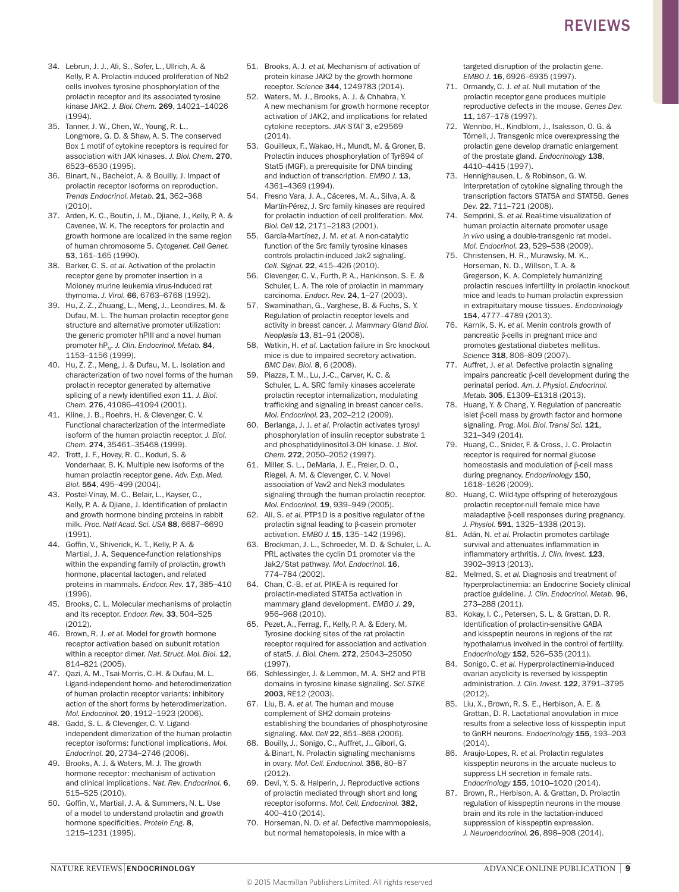- 34. Lebrun, J. J., Ali, S., Sofer, L., Ullrich, A. & Kelly, P. A. Prolactin-induced proliferation of Nb2 cells involves tyrosine phosphorylation of the prolactin receptor and its associated tyrosine kinase JAK2. *J. Biol. Chem.* 269, 14021–14026 (1994).
- 35. Tanner, J. W., Chen, W., Young, R. L., Longmore, G. D. & Shaw, A. S. The conserved Box 1 motif of cytokine receptors is required for association with JAK kinases. *J. Biol. Chem.* 270, 6523–6530 (1995).
- 36. Binart, N., Bachelot, A. & Bouilly, J. Impact of prolactin receptor isoforms on reproduction. *Trends Endocrinol. Metab.* 21, 362–368  $(2010)$
- 37. Arden, K. C., Boutin, J. M., Djiane, J., Kelly, P. A. & Cavenee, W. K. The receptors for prolactin and growth hormone are localized in the same region of human chromosome 5. *Cytogenet. Cell Genet.* 53, 161–165 (1990).
- 38. Barker, C. S. *et al.* Activation of the prolactin receptor gene by promoter insertion in a Moloney murine leukemia virus-induced rat thymoma. *J. Virol.* 66, 6763–6768 (1992).
- 39. Hu, Z.-Z., Zhuang, L., Meng, J., Leondires, M. & Dufau, M. L. The human prolactin receptor gene structure and alternative promoter utilization: the generic promoter hPIII and a novel human promoter hP<sub>N</sub>. *J. Clin. Endocrinol. Metab.* 84, 1153–1156 (1999).
- 40. Hu, Z. Z., Meng, J. & Dufau, M. L. Isolation and characterization of two novel forms of the human prolactin receptor generated by alternative splicing of a newly identified exon 11. *J. Biol. Chem.* 276, 41086–41094 (2001).
- 41. Kline, J. B., Roehrs, H. & Clevenger, C. V. Functional characterization of the intermediate isoform of the human prolactin receptor. *J. Biol. Chem.* 274, 35461–35468 (1999).
- 42. Trott, J. F., Hovey, R. C., Koduri, S. & Vonderhaar, B. K. Multiple new isoforms of the human prolactin receptor gene. *Adv. Exp. Med. Biol.* 554, 495–499 (2004).
- 43. Postel-Vinay, M. C., Belair, L., Kayser, C., Kelly, P. A. & Djiane, J. Identification of prolactin and growth hormone binding proteins in rabbit milk. *Proc. Natl Acad. Sci. USA* 88, 6687–6690 (1991).
- 44. Goffin, V., Shiverick, K. T., Kelly, P. A. & Martial, J. A. Sequence-function relationships within the expanding family of prolactin, growth hormone, placental lactogen, and related proteins in mammals. *Endocr. Rev.* 17, 385–410 (1996).
- 45. Brooks, C. L. Molecular mechanisms of prolactin and its receptor. *Endocr. Rev.* 33, 504–525 (2012).
- 46. Brown, R. J. *et al.* Model for growth hormone receptor activation based on subunit rotation within a receptor dimer. *Nat. Struct. Mol. Biol.* 12, 814–821 (2005).
- 47. Qazi, A. M., Tsai-Morris, C.-H. & Dufau, M. L. Ligand-independent homo- and heterodimerization of human prolactin receptor variants: inhibitory action of the short forms by heterodimerization. *Mol. Endocrinol.* 20, 1912–1923 (2006).
- 48. Gadd, S. L. & Clevenger, C. V. Ligandindependent dimerization of the human prolactin receptor isoforms: functional implications. *Mol. Endocrinol.* 20, 2734–2746 (2006).
- 49. Brooks, A. J. & Waters, M. J. The growth hormone receptor: mechanism of activation and clinical implications. *Nat. Rev. Endocrinol.* 6, 515–525 (2010).
- 50. Goffin, V., Martial, J. A. & Summers, N. L. Use of a model to understand prolactin and growth hormone specificities. *Protein Eng.* 8, 1215–1231 (1995).
- 51. Brooks, A. J. *et al.* Mechanism of activation of protein kinase JAK2 by the growth hormone receptor. *Science* 344, 1249783 (2014).
- 52. Waters, M. J., Brooks, A. J. & Chhabra, Y. A new mechanism for growth hormone receptor activation of JAK2, and implications for related cytokine receptors. *JAK-STAT* 3, e29569 (2014).
- 53. Gouilleux, F., Wakao, H., Mundt, M. & Groner, B. Prolactin induces phosphorylation of Tyr694 of Stat5 (MGF), a prerequisite for DNA binding and induction of transcription. *EMBO J.* 13, 4361–4369 (1994).
- 54. Fresno Vara, J. A., Cáceres, M. A., Silva, A. & Martín-Pérez, J. Src family kinases are required for prolactin induction of cell proliferation. *Mol. Biol. Cell* 12, 2171–2183 (2001).
- 55. García-Martínez, J. M. *et al.* A non-catalytic function of the Src family tyrosine kinases controls prolactin-induced Jak2 signaling. *Cell. Signal.* 22, 415–426 (2010).
- 56. Clevenger, C. V., Furth, P. A., Hankinson, S. E. & Schuler, L. A. The role of prolactin in mammary carcinoma. *Endocr. Rev.* 24, 1–27 (2003).
- 57. Swaminathan, G., Varghese, B. & Fuchs, S. Y. Regulation of prolactin receptor levels and activity in breast cancer. *J. Mammary Gland Biol. Neoplasia* 13, 81–91 (2008).
- 58. Watkin, H. *et al.* Lactation failure in Src knockout mice is due to impaired secretory activation. *BMC Dev. Biol.* 8, 6 (2008).
- 59. Piazza, T. M., Lu, J.-C., Carver, K. C. & Schuler, L. A. SRC family kinases accelerate prolactin receptor internalization, modulating trafficking and signaling in breast cancer cells. *Mol. Endocrinol.* 23, 202–212 (2009).
- 60. Berlanga, J. J. *et al.* Prolactin activates tyrosyl phosphorylation of insulin receptor substrate 1 and phosphatidylinositol-3-OH kinase. *J. Biol. Chem.* 272, 2050–2052 (1997).
- 61. Miller, S. L., DeMaria, J. E., Freier, D. O., Riegel, A. M. & Clevenger, C. V. Novel association of Vav2 and Nek3 modulates signaling through the human prolactin receptor. *Mol. Endocrinol.* 19, 939–949 (2005).
- 62. Ali, S. *et al.* PTP1D is a positive regulator of the prolactin signal leading to β-casein promoter activation. *EMBO J.* 15, 135–142 (1996).
- 63. Brockman, J. L., Schroeder, M. D. & Schuler, L. A. PRL activates the cyclin D1 promoter via the Jak2/Stat pathway. *Mol. Endocrinol.* 16, 774–784 (2002).
- 64. Chan, C.-B. *et al.* PIKE-A is required for prolactin-mediated STAT5a activation in mammary gland development. *EMBO J.* 29, 956–968 (2010).
- 65. Pezet, A., Ferrag, F., Kelly, P. A. & Edery, M. Tyrosine docking sites of the rat prolactin receptor required for association and activation of stat5. *J. Biol. Chem.* 272, 25043–25050 (1997).
- 66. Schlessinger, J. & Lemmon, M. A. SH2 and PTB domains in tyrosine kinase signaling. *Sci. STKE* 2003, RE12 (2003).
- 67. Liu, B. A. *et al.* The human and mouse complement of SH2 domain proteinsestablishing the boundaries of phosphotyrosine signaling. *Mol. Cell* 22, 851–868 (2006).
- 68. Bouilly, J., Sonigo, C., Auffret, J., Gibori, G. & Binart, N. Prolactin signaling mechanisms in ovary. *Mol. Cell. Endocrinol.* 356, 80–87 (2012).
- 69. Devi, Y. S. & Halperin, J. Reproductive actions of prolactin mediated through short and long receptor isoforms. *Mol. Cell. Endocrinol.* 382, 400–410 (2014).
- 70. Horseman, N. D. *et al.* Defective mammopoiesis, but normal hematopoiesis, in mice with a

targeted disruption of the prolactin gene. *EMBO J.* 16, 6926–6935 (1997).

- 71. Ormandy, C. J. *et al.* Null mutation of the prolactin receptor gene produces multiple reproductive defects in the mouse. *Genes Dev.* 11, 167–178 (1997).
- 72. Wennbo, H., Kindblom, J., Isaksson, O. G. & Törnell, J. Transgenic mice overexpressing the prolactin gene develop dramatic enlargement of the prostate gland. *Endocrinology* 138, 4410–4415 (1997).
- 73. Hennighausen, L. & Robinson, G. W. Interpretation of cytokine signaling through the transcription factors STAT5A and STAT5B. *Genes Dev.* 22, 711–721 (2008).
- 74. Semprini, S. *et al.* Real-time visualization of human prolactin alternate promoter usage *in vivo* using a double-transgenic rat model. *Mol. Endocrinol.* 23, 529–538 (2009).
- 75. Christensen, H. R., Murawsky, M. K., Horseman, N. D., Willson, T. A. & Gregerson, K. A. Completely humanizing prolactin rescues infertility in prolactin knockout mice and leads to human prolactin expression in extrapituitary mouse tissues. *Endocrinology* 154, 4777–4789 (2013).
- 76. Karnik, S. K. *et al.* Menin controls growth of pancreatic β-cells in pregnant mice and promotes gestational diabetes mellitus. *Science* 318, 806–809 (2007).
- 77. Auffret, J. *et al.* Defective prolactin signaling impairs pancreatic β-cell development during the perinatal period. *Am. J. Physiol. Endocrinol. Metab.* 305, E1309–E1318 (2013).
- 78. Huang, Y. & Chang, Y. Regulation of pancreatic islet β-cell mass by growth factor and hormone signaling. *Prog. Mol. Biol. Transl Sci.* 121, 321–349 (2014).
- 79. Huang, C., Snider, F. & Cross, J. C. Prolactin receptor is required for normal glucose homeostasis and modulation of β-cell mass during pregnancy. *Endocrinology* 150, 1618–1626 (2009).
- 80. Huang, C. Wild-type offspring of heterozygous prolactin receptor-null female mice have maladaptive β-cell responses during pregnancy. *J. Physiol.* 591, 1325–1338 (2013).
- 81. Adán, N. *et al.* Prolactin promotes cartilage survival and attenuates inflammation in inflammatory arthritis. *J. Clin. Invest.* 123, 3902–3913 (2013).
- 82. Melmed, S. *et al.* Diagnosis and treatment of hyperprolactinemia: an Endocrine Society clinical practice guideline. *J. Clin. Endocrinol. Metab.* 96, 273–288 (2011).
- 83. Kokay, I. C., Petersen, S. L. & Grattan, D. R. Identification of prolactin-sensitive GABA and kisspeptin neurons in regions of the rat hypothalamus involved in the control of fertility. *Endocrinology* 152, 526–535 (2011).
- 84. Sonigo, C. *et al.* Hyperprolactinemia-induced ovarian acyclicity is reversed by kisspeptin administration. *J. Clin. Invest.* 122, 3791–3795 (2012).
- 85. Liu, X., Brown, R. S. E., Herbison, A. E. & Grattan, D. R. Lactational anovulation in mice results from a selective loss of kisspeptin input to GnRH neurons. *Endocrinology* 155, 193–203 (2014).
- 86. Araujo-Lopes, R. *et al.* Prolactin regulates kisspeptin neurons in the arcuate nucleus to suppress LH secretion in female rats. *Endocrinology* 155, 1010–1020 (2014).
- 87. Brown, R., Herbison, A. & Grattan, D. Prolactin regulation of kisspeptin neurons in the mouse brain and its role in the lactation-induced suppression of kisspeptin expression. *J. Neuroendocrinol.* 26, 898–908 (2014).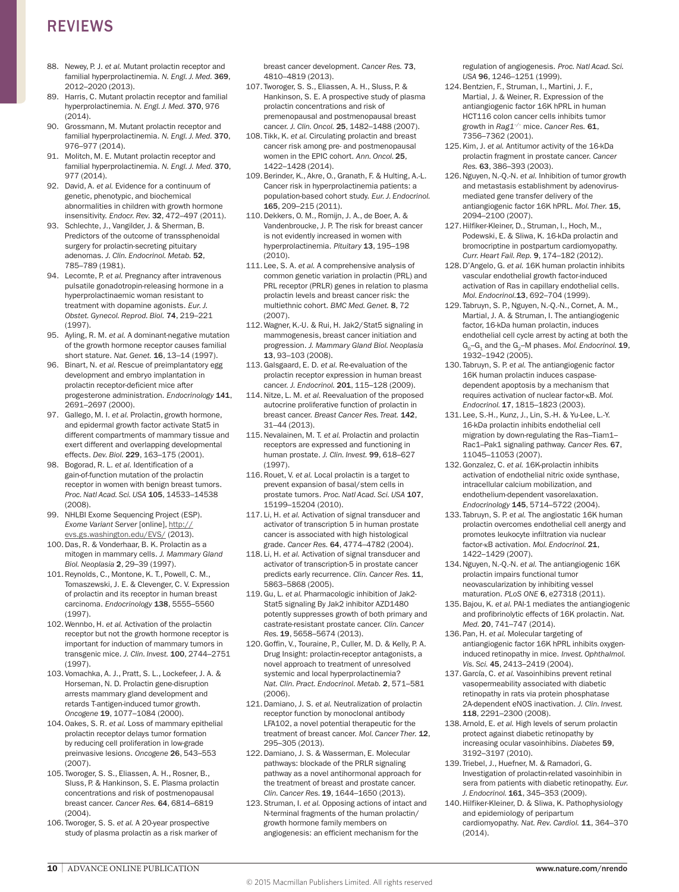- 88. Newey, P. L. et al. Mutant prolactin receptor and familial hyperprolactinemia. *N. Engl. J. Med.* 369, 2012–2020 (2013).
- 89. Harris, C. Mutant prolactin receptor and familial hyperprolactinemia. *N. Engl. J. Med.* 370, 976 (2014).
- 90. Grossmann, M. Mutant prolactin receptor and familial hyperprolactinemia. *N. Engl. J. Med.* 370, 976–977 (2014).
- 91. Molitch, M. E. Mutant prolactin receptor and familial hyperprolactinemia. *N. Engl. J. Med.* 370, 977 (2014).
- 92. David, A. *et al.* Evidence for a continuum of genetic, phenotypic, and biochemical abnormalities in children with growth hormone insensitivity. *Endocr. Rev.* 32, 472–497 (2011).
- 93. Schlechte, J., Vangilder, J. & Sherman, B. Predictors of the outcome of transsphenoidal surgery for prolactin-secreting pituitary adenomas. *J. Clin. Endocrinol. Metab.* 52, 785–789 (1981).
- 94. Lecomte, P. *et al.* Pregnancy after intravenous pulsatile gonadotropin-releasing hormone in a hyperprolactinaemic woman resistant to treatment with dopamine agonists. *Eur. J. Obstet. Gynecol. Reprod. Biol.* 74, 219–221 (1997).
- 95. Ayling, R. M. *et al.* A dominant-negative mutation of the growth hormone receptor causes familial short stature. *Nat. Genet.* 16, 13–14 (1997).
- 96. Binart, N. *et al.* Rescue of preimplantatory egg development and embryo implantation in prolactin receptor-deficient mice after progesterone administration. *Endocrinology* 141, 2691–2697 (2000).
- 97. Gallego, M. I. *et al.* Prolactin, growth hormone, and epidermal growth factor activate Stat5 in different compartments of mammary tissue and exert different and overlapping developmental effects. *Dev. Biol.* 229, 163–175 (2001).
- 98. Bogorad, R. L. *et al.* Identification of a gain-of-function mutation of the prolactin receptor in women with benign breast tumors. *Proc. Natl Acad. Sci. USA* 105, 14533–14538 (2008).
- 99. NHLBI Exome Sequencing Project (ESP). *Exome Variant Server* [online], [http://](http://evs.gs.washington.edu/EVS/) [evs.gs.washington.edu/EVS/](http://evs.gs.washington.edu/EVS/) (2013).
- 100.Das, R. & Vonderhaar, B. K. Prolactin as a mitogen in mammary cells. *J. Mammary Gland Biol. Neoplasia* 2, 29–39 (1997).
- 101.Reynolds, C., Montone, K. T., Powell, C. M., Tomaszewski, J. E. & Clevenger, C. V. Expression of prolactin and its receptor in human breast carcinoma. *Endocrinology* 138, 5555–5560 (1997).
- 102.Wennbo, H. *et al.* Activation of the prolactin receptor but not the growth hormone receptor is important for induction of mammary tumors in transgenic mice. *J. Clin. Invest.* 100, 2744–2751 (1997).
- 103.Vomachka, A. J., Pratt, S. L., Lockefeer, J. A. & Horseman, N. D. Prolactin gene-disruption arrests mammary gland development and retards T-antigen-induced tumor growth. *Oncogene* 19, 1077–1084 (2000).
- 104.Oakes, S. R. *et al.* Loss of mammary epithelial prolactin receptor delays tumor formation by reducing cell proliferation in low-grade preinvasive lesions. *Oncogene* 26, 543–553 (2007).
- 105. Tworoger, S. S., Eliassen, A. H., Rosner, B., Sluss, P. & Hankinson, S. E. Plasma prolactin concentrations and risk of postmenopausal breast cancer. *Cancer Res.* 64, 6814–6819 (2004).
- 106. Tworoger, S. S. *et al.* A 20-year prospective study of plasma prolactin as a risk marker of

breast cancer development. *Cancer Res.* 73, 4810–4819 (2013).

- 107. Tworoger, S. S., Eliassen, A. H., Sluss, P. & Hankinson, S. E. A prospective study of plasma prolactin concentrations and risk of premenopausal and postmenopausal breast cancer. *J. Clin. Oncol.* 25, 1482–1488 (2007).
- 108. Tikk, K. *et al.* Circulating prolactin and breast cancer risk among pre- and postmenopausal women in the EPIC cohort. *Ann. Oncol.* 25, 1422–1428 (2014).
- 109.Berinder, K., Akre, O., Granath, F. & Hulting, A.-L. Cancer risk in hyperprolactinemia patients: a population-based cohort study. *Eur. J. Endocrinol.*  165, 209–215 (2011).
- 110.Dekkers, O. M., Romijn, J. A., de Boer, A. & Vandenbroucke, J. P. The risk for breast cancer is not evidently increased in women with hyperprolactinemia. *Pituitary* 13, 195–198 (2010).
- 111. Lee, S. A. *et al.* A comprehensive analysis of common genetic variation in prolactin (PRL) and PRL receptor (PRLR) genes in relation to plasma prolactin levels and breast cancer risk: the multiethnic cohort. *BMC Med. Genet.* 8, 72 (2007).
- 112.Wagner, K.-U. & Rui, H. Jak2/Stat5 signaling in mammogenesis, breast cancer initiation and progression. *J. Mammary Gland Biol. Neoplasia* 13, 93–103 (2008).
- 113.Galsgaard, E. D. *et al.* Re-evaluation of the prolactin receptor expression in human breast cancer. *J. Endocrinol.* 201, 115–128 (2009).
- 114.Nitze, L. M. *et al.* Reevaluation of the proposed autocrine proliferative function of prolactin in breast cancer. *Breast Cancer Res. Treat.* 142, 31–44 (2013).
- 115.Nevalainen, M. T. *et al.* Prolactin and prolactin receptors are expressed and functioning in human prostate. *J. Clin. Invest.* 99, 618–627 (1997).
- 116.Rouet, V. *et al.* Local prolactin is a target to prevent expansion of basal/stem cells in prostate tumors. *Proc. Natl Acad. Sci. USA* 107, 15199–15204 (2010).
- 117. Li, H. *et al.* Activation of signal transducer and activator of transcription 5 in human prostate cancer is associated with high histological grade. *Cancer Res.* 64, 4774–4782 (2004).
- 118. Li, H. *et al.* Activation of signal transducer and activator of transcription-5 in prostate cancer predicts early recurrence. *Clin. Cancer Res.* 11, 5863–5868 (2005).
- 119.Gu, L. *et al.* Pharmacologic inhibition of Jak2- Stat5 signaling By Jak2 inhibitor AZD1480 potently suppresses growth of both primary and castrate-resistant prostate cancer. *Clin. Cancer Res.* 19, 5658–5674 (2013).
- 120.Goffin, V., Touraine, P., Culler, M. D. & Kelly, P. A. Drug Insight: prolactin-receptor antagonists, a novel approach to treatment of unresolved systemic and local hyperprolactinemia? *Nat. Clin. Pract. Endocrinol. Metab.* 2, 571–581 (2006).
- 121.Damiano, J. S. *et al.* Neutralization of prolactin receptor function by monoclonal antibody LFA102, a novel potential therapeutic for the treatment of breast cancer. *Mol. Cancer Ther.* 12, 295–305 (2013).
- 122.Damiano, J. S. & Wasserman, E. Molecular pathways: blockade of the PRLR signaling pathway as a novel antihormonal approach for the treatment of breast and prostate cancer. *Clin. Cancer Res.* 19, 1644–1650 (2013).
- 123.Struman, I. *et al.* Opposing actions of intact and N-terminal fragments of the human prolactin/ growth hormone family members on angiogenesis: an efficient mechanism for the

regulation of angiogenesis. *Proc. Natl Acad. Sci. USA* 96, 1246–1251 (1999).

- 124.Bentzien, F., Struman, I., Martini, J. F., Martial, J. & Weiner, R. Expression of the antiangiogenic factor 16K hPRL in human HCT116 colon cancer cells inhibits tumor growth in *Rag1–/–* mice. *Cancer Res.* 61, 7356–7362 (2001).
- 125.Kim, J. *et al.* Antitumor activity of the 16-kDa prolactin fragment in prostate cancer. *Cancer Res.* 63, 386–393 (2003).
- 126.Nguyen, N.-Q.-N. *et al.* Inhibition of tumor growth and metastasis establishment by adenovirusmediated gene transfer delivery of the antiangiogenic factor 16K hPRL. *Mol. Ther.* 15, 2094–2100 (2007).
- 127.Hilfiker-Kleiner, D., Struman, I., Hoch, M., Podewski, E. & Sliwa, K. 16-kDa prolactin and bromocriptine in postpartum cardiomyopathy. *Curr. Heart Fail. Rep.* 9, 174–182 (2012).
- 128.D'Angelo, G. *et al.* 16K human prolactin inhibits vascular endothelial growth factor-induced activation of Ras in capillary endothelial cells. *Mol. Endocrinol.*13, 692–704 (1999).
- 129. Tabruyn, S. P., Nguyen, N.-Q.-N., Cornet, A. M., Martial, J. A. & Struman, I. The antiangiogenic factor, 16-kDa human prolactin, induces endothelial cell cycle arrest by acting at both the G<sub>2</sub>–G<sub>2</sub> and the G<sub>2</sub>–M phases. *Mol. Endocrinol*. **19.** 1932–1942 (2005).
- 130. Tabruyn, S. P. *et al.* The antiangiogenic factor 16K human prolactin induces caspasedependent apoptosis by a mechanism that requires activation of nuclear factor-κB. *Mol. Endocrinol.* 17, 1815–1823 (2003).
- 131. Lee, S.-H., Kunz, J., Lin, S.-H. & Yu-Lee, L.-Y. 16-kDa prolactin inhibits endothelial cell migration by down-regulating the Ras–Tiam1– Rac1–Pak1 signaling pathway. *Cancer Res.* 67, 11045–11053 (2007).
- 132.Gonzalez, C. *et al.* 16K-prolactin inhibits activation of endothelial nitric oxide synthase, intracellular calcium mobilization, and endothelium-dependent vasorelaxation. *Endocrinology* 145, 5714–5722 (2004).
- 133. Tabruyn, S. P. *et al.* The angiostatic 16K human prolactin overcomes endothelial cell anergy and promotes leukocyte infiltration via nuclear factor-κB activation. *Mol. Endocrinol.* 21, 1422–1429 (2007).
- 134.Nguyen, N.-Q.-N. *et al.* The antiangiogenic 16K prolactin impairs functional tumor neovascularization by inhibiting vessel maturation. *PLoS ONE* 6, e27318 (2011).
- 135.Bajou, K. *et al.* PAI-1 mediates the antiangiogenic and profibrinolytic effects of 16K prolactin. *Nat. Med.* 20, 741–747 (2014).
- 136.Pan, H. *et al.* Molecular targeting of antiangiogenic factor 16K hPRL inhibits oxygeninduced retinopathy in mice. *Invest. Ophthalmol. Vis. Sci.* 45, 2413–2419 (2004).
- 137.García, C. *et al.* Vasoinhibins prevent retinal vasopermeability associated with diabetic retinopathy in rats via protein phosphatase 2A-dependent eNOS inactivation. *J. Clin. Invest.* 118, 2291–2300 (2008).
- 138.Arnold, E. *et al.* High levels of serum prolactin protect against diabetic retinopathy by increasing ocular vasoinhibins. *Diabetes* 59, 3192–3197 (2010).
- 139. Triebel, J., Huefner, M. & Ramadori, G. Investigation of prolactin-related vasoinhibin in sera from patients with diabetic retinopathy. *Eur. J. Endocrinol.* 161, 345–353 (2009).
- 140.Hilfiker-Kleiner, D. & Sliwa, K. Pathophysiology and epidemiology of peripartum cardiomyopathy. Nat. Rev. Cardiol. 11, 364-370 (2014).